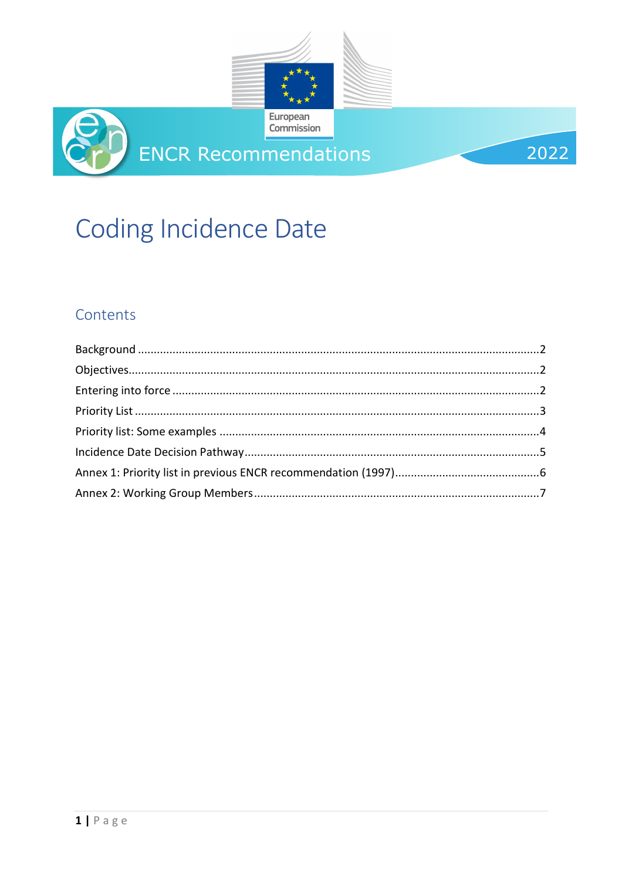

# **Coding Incidence Date**

## Contents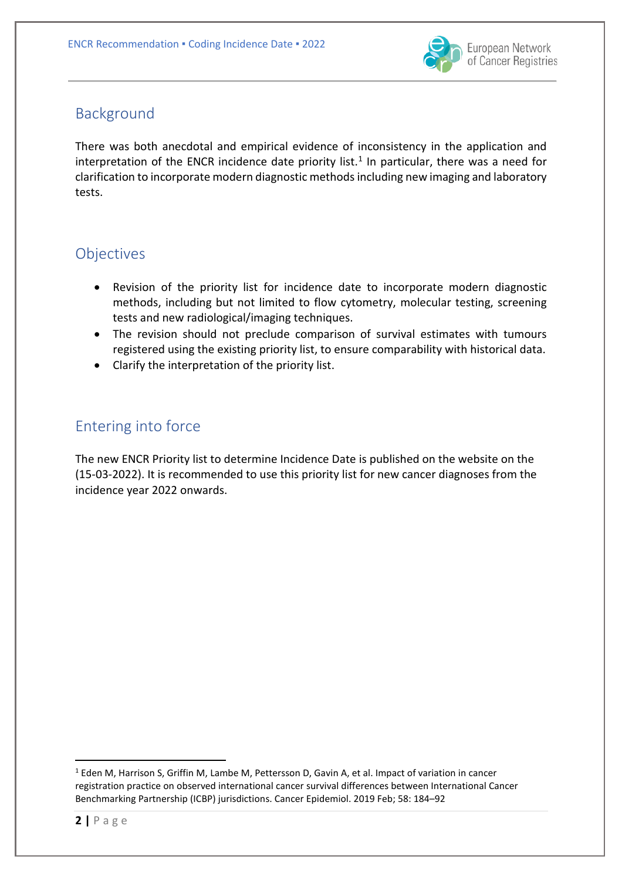

## <span id="page-1-0"></span>Background

There was both anecdotal and empirical evidence of inconsistency in the application and interpretation of the ENCR incidence date priority list.<sup>[1](#page-1-3)</sup> In particular, there was a need for clarification to incorporate modern diagnostic methodsincluding new imaging and laboratory tests.

## <span id="page-1-1"></span>**Objectives**

- Revision of the priority list for incidence date to incorporate modern diagnostic methods, including but not limited to flow cytometry, molecular testing, screening tests and new radiological/imaging techniques.
- The revision should not preclude comparison of survival estimates with tumours registered using the existing priority list, to ensure comparability with historical data.
- Clarify the interpretation of the priority list.

## <span id="page-1-2"></span>Entering into force

The new ENCR Priority list to determine Incidence Date is published on the website on the (15-03-2022). It is recommended to use this priority list for new cancer diagnoses from the incidence year 2022 onwards.

<span id="page-1-3"></span><sup>&</sup>lt;sup>1</sup> Eden M, Harrison S, Griffin M, Lambe M, Pettersson D, Gavin A, et al. Impact of variation in cancer registration practice on observed international cancer survival differences between International Cancer Benchmarking Partnership (ICBP) jurisdictions. Cancer Epidemiol. 2019 Feb; 58: 184–92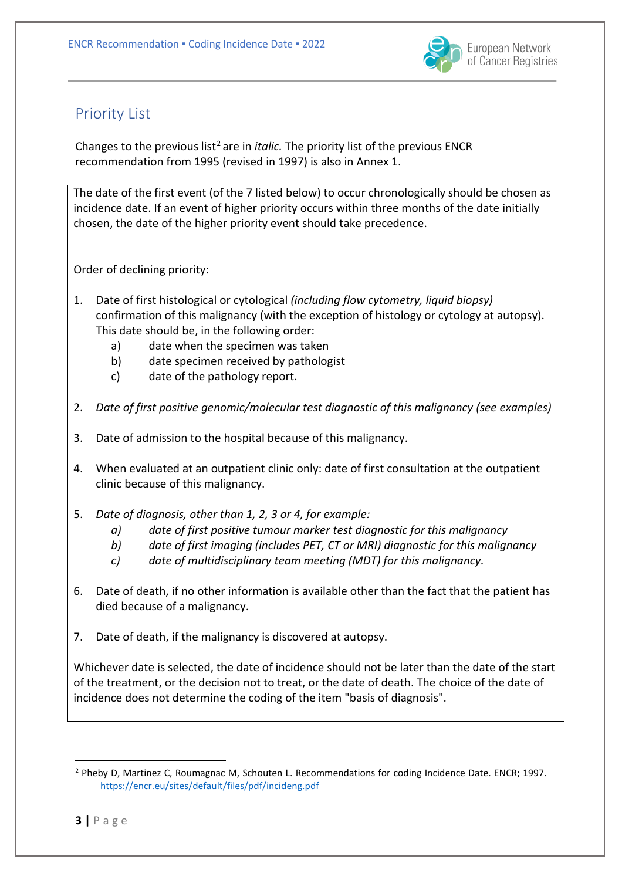

### <span id="page-2-0"></span>Priority List

Changes to the previous list<sup>[2](#page-2-1)</sup> are in *italic*. The priority list of the previous ENCR recommendation from 1995 (revised in 1997) is also in Annex 1.

The date of the first event (of the 7 listed below) to occur chronologically should be chosen as incidence date. If an event of higher priority occurs within three months of the date initially chosen, the date of the higher priority event should take precedence.

Order of declining priority:

- 1. Date of first histological or cytological *(including flow cytometry, liquid biopsy)* confirmation of this malignancy (with the exception of histology or cytology at autopsy). This date should be, in the following order:
	- a) date when the specimen was taken
	- b) date specimen received by pathologist
	- c) date of the pathology report.
- 2. *Date of first positive genomic/molecular test diagnostic of this malignancy (see examples)*
- 3. Date of admission to the hospital because of this malignancy.
- 4. When evaluated at an outpatient clinic only: date of first consultation at the outpatient clinic because of this malignancy.
- 5. *Date of diagnosis, other than 1, 2, 3 or 4, for example:* 
	- *a) date of first positive tumour marker test diagnostic for this malignancy*
	- *b) date of first imaging (includes PET, CT or MRI) diagnostic for this malignancy*
	- *c) date of multidisciplinary team meeting (MDT) for this malignancy.*
- 6. Date of death, if no other information is available other than the fact that the patient has died because of a malignancy.
- 7. Date of death, if the malignancy is discovered at autopsy.

Whichever date is selected, the date of incidence should not be later than the date of the start of the treatment, or the decision not to treat, or the date of death. The choice of the date of incidence does not determine the coding of the item "basis of diagnosis".

<span id="page-2-1"></span> <sup>2</sup> Pheby D, Martinez C, Roumagnac M, Schouten L. Recommendations for coding Incidence Date. ENCR; 1997. <https://encr.eu/sites/default/files/pdf/incideng.pdf>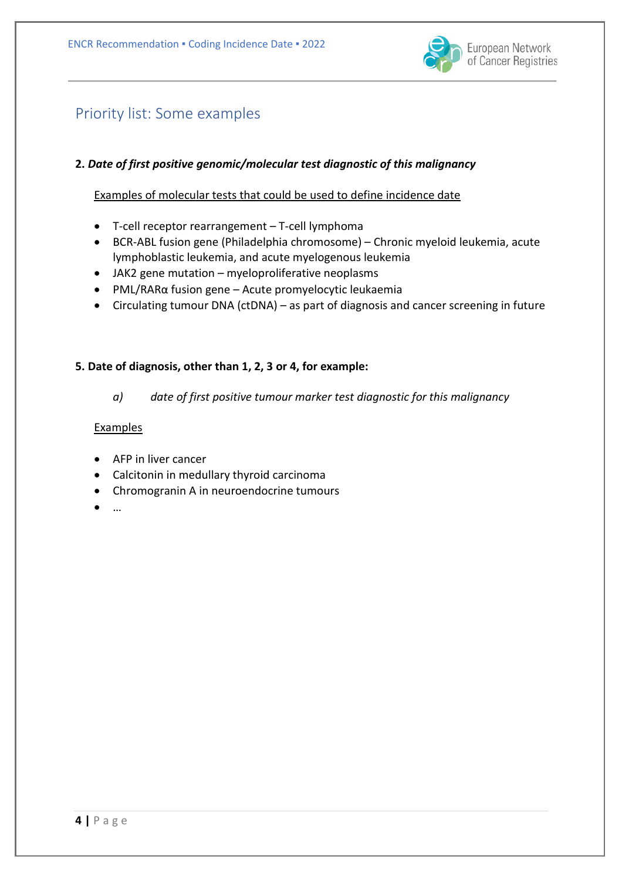

## <span id="page-3-0"></span>Priority list: Some examples

#### **2.** *Date of first positive genomic/molecular test diagnostic of this malignancy*

Examples of molecular tests that could be used to define incidence date

- T-cell receptor rearrangement T-cell lymphoma
- BCR-ABL fusion gene (Philadelphia chromosome) Chronic myeloid leukemia, acute lymphoblastic leukemia, and acute myelogenous leukemia
- JAK2 gene mutation myeloproliferative neoplasms
- PML/RARα fusion gene Acute promyelocytic leukaemia
- Circulating tumour DNA (ctDNA) as part of diagnosis and cancer screening in future

#### **5. Date of diagnosis, other than 1, 2, 3 or 4, for example:**

*a) date of first positive tumour marker test diagnostic for this malignancy*

#### **Examples**

- AFP in liver cancer
- Calcitonin in medullary thyroid carcinoma
- Chromogranin A in neuroendocrine tumours
- …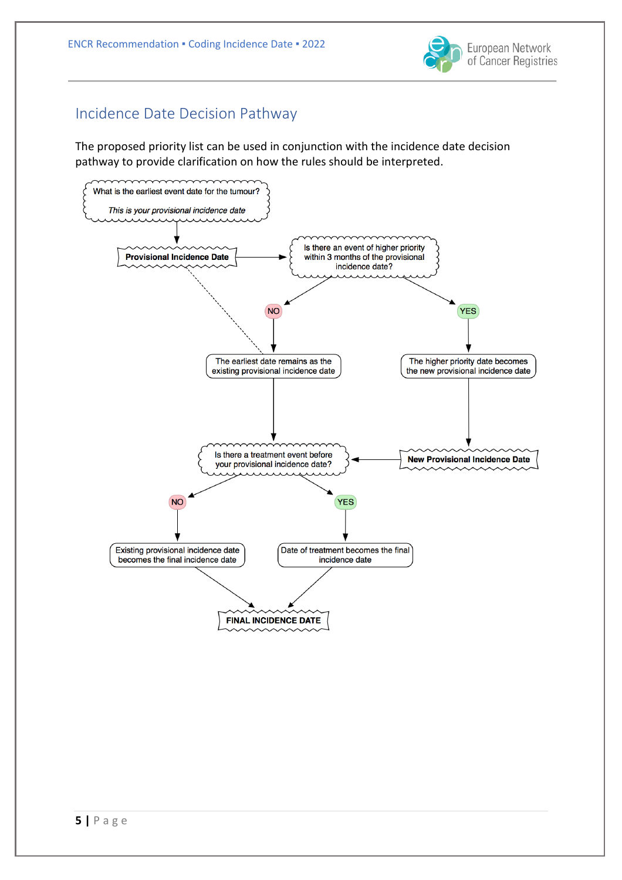

## <span id="page-4-0"></span>Incidence Date Decision Pathway

The proposed priority list can be used in conjunction with the incidence date decision pathway to provide clarification on how the rules should be interpreted.

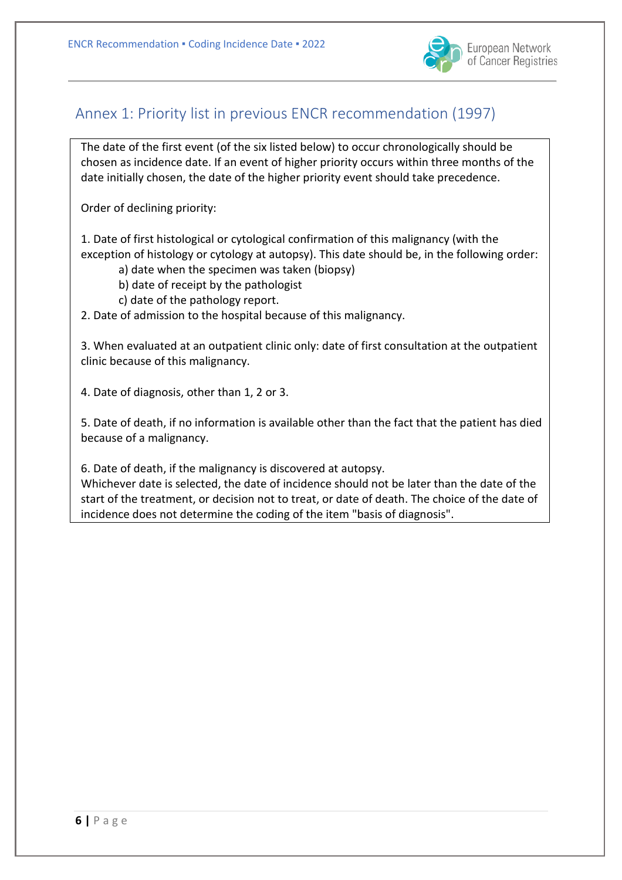

European Network of Cancer Registries

## <span id="page-5-0"></span>Annex 1: Priority list in previous ENCR recommendation (1997)

The date of the first event (of the six listed below) to occur chronologically should be chosen as incidence date. If an event of higher priority occurs within three months of the date initially chosen, the date of the higher priority event should take precedence.

Order of declining priority:

1. Date of first histological or cytological confirmation of this malignancy (with the exception of histology or cytology at autopsy). This date should be, in the following order:

- a) date when the specimen was taken (biopsy)
- b) date of receipt by the pathologist
- c) date of the pathology report.

2. Date of admission to the hospital because of this malignancy.

3. When evaluated at an outpatient clinic only: date of first consultation at the outpatient clinic because of this malignancy.

4. Date of diagnosis, other than 1, 2 or 3.

5. Date of death, if no information is available other than the fact that the patient has died because of a malignancy.

6. Date of death, if the malignancy is discovered at autopsy.

Whichever date is selected, the date of incidence should not be later than the date of the start of the treatment, or decision not to treat, or date of death. The choice of the date of incidence does not determine the coding of the item "basis of diagnosis".